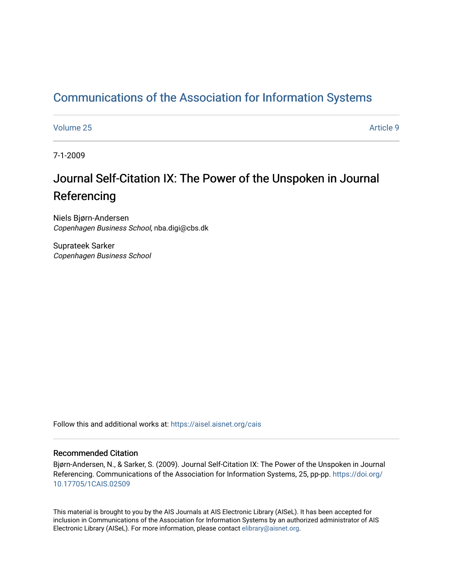## [Communications of the Association for Information Systems](https://aisel.aisnet.org/cais)

[Volume 25](https://aisel.aisnet.org/cais/vol25) [Article 9](https://aisel.aisnet.org/cais/vol25/iss1/9) 

7-1-2009

# Journal Self-Citation IX: The Power of the Unspoken in Journal Referencing

Niels Bjørn-Andersen Copenhagen Business School, nba.digi@cbs.dk

Suprateek Sarker Copenhagen Business School

Follow this and additional works at: [https://aisel.aisnet.org/cais](https://aisel.aisnet.org/cais?utm_source=aisel.aisnet.org%2Fcais%2Fvol25%2Fiss1%2F9&utm_medium=PDF&utm_campaign=PDFCoverPages)

#### Recommended Citation

Bjørn-Andersen, N., & Sarker, S. (2009). Journal Self-Citation IX: The Power of the Unspoken in Journal Referencing. Communications of the Association for Information Systems, 25, pp-pp. [https://doi.org/](https://doi.org/10.17705/1CAIS.02509) [10.17705/1CAIS.02509](https://doi.org/10.17705/1CAIS.02509) 

This material is brought to you by the AIS Journals at AIS Electronic Library (AISeL). It has been accepted for inclusion in Communications of the Association for Information Systems by an authorized administrator of AIS Electronic Library (AISeL). For more information, please contact [elibrary@aisnet.org.](mailto:elibrary@aisnet.org%3E)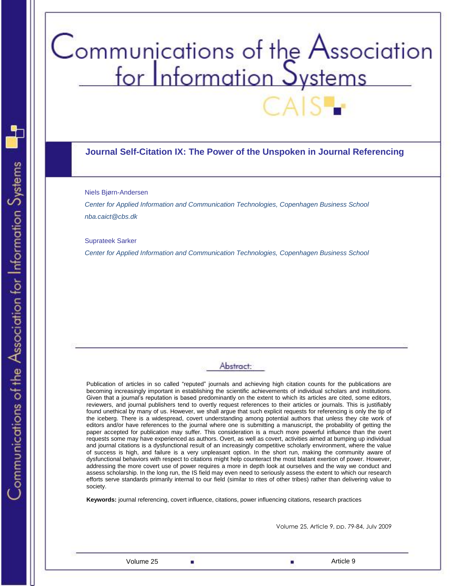# Communications of the Association<br>for Information Systems

#### **Journal Self-Citation IX: The Power of the Unspoken in Journal Referencing**

#### Niels Bjørn-Andersen

*Center for Applied Information and Communication Technologies, Copenhagen Business School nba.caict@cbs.dk*

#### Suprateek Sarker

*Center for Applied Information and Communication Technologies, Copenhagen Business School*

## Abstract:

Publication of articles in so called "reputed" journals and achieving high citation counts for the publications are becoming increasingly important in establishing the scientific achievements of individual scholars and institutions. Given that a journal"s reputation is based predominantly on the extent to which its articles are cited, some editors, reviewers, and journal publishers tend to overtly request references to their articles or journals. This is justifiably found unethical by many of us. However, we shall argue that such explicit requests for referencing is only the tip of the iceberg. There is a widespread, covert understanding among potential authors that unless they cite work of editors and/or have references to the journal where one is submitting a manuscript, the probability of getting the paper accepted for publication may suffer. This consideration is a much more powerful influence than the overt requests some may have experienced as authors. Overt, as well as covert, activities aimed at bumping up individual and journal citations is a dysfunctional result of an increasingly competitive scholarly environment, where the value of success is high, and failure is a very unpleasant option. In the short run, making the community aware of dysfunctional behaviors with respect to citations might help counteract the most blatant exertion of power. However, addressing the more covert use of power requires a more in depth look at ourselves and the way we conduct and assess scholarship. In the long run, the IS field may even need to seriously assess the extent to which our research efforts serve standards primarily internal to our field (similar to rites of other tribes) rather than delivering value to society.

**Keywords:** journal referencing, covert influence, citations, power influencing citations, research practices

Volume 25, Article 9, pp. 79-84, July 2009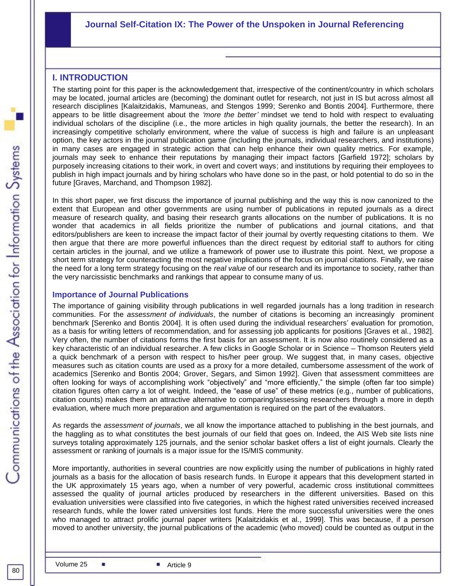#### **Journal Self-Citation IX: The Power of the Unspoken in Journal Referencing**

#### **I. INTRODUCTION**

The starting point for this paper is the acknowledgement that, irrespective of the continent/country in which scholars may be located, journal articles are (becoming) the dominant outlet for research, not just in IS but across almost all research disciplines [Kalaitzidakis, Mamuneas, and Stengos 1999; Serenko and Bontis 2004]. Furthermore, there appears to be little disagreement about the *'more the better'* mindset we tend to hold with respect to evaluating individual scholars of the discipline (i.e., the more articles in high quality journals, the better the research). In an increasingly competitive scholarly environment, where the value of success is high and failure is an unpleasant option, the key actors in the journal publication game (including the journals, individual researchers, and institutions) in many cases are engaged in strategic action that can help enhance their own quality metrics. For example, journals may seek to enhance their reputations by managing their impact factors [Garfield 1972]; scholars by purposely increasing citations to their work, in overt and covert ways; and institutions by requiring their employees to publish in high impact journals and by hiring scholars who have done so in the past, or hold potential to do so in the future [Graves, Marchand, and Thompson 1982].

In this short paper, we first discuss the importance of journal publishing and the way this is now canonized to the extent that European and other governments are using number of publications in reputed journals as a direct measure of research quality, and basing their research grants allocations on the number of publications. It is no wonder that academics in all fields prioritize the number of publications and journal citations, and that editors/publishers are keen to increase the impact factor of their journal by overtly requesting citations to them. We then argue that there are more powerful influences than the direct request by editorial staff to authors for citing certain articles in the journal, and we utilize a framework of power use to illustrate this point. Next, we propose a short term strategy for counteracting the most negative implications of the focus on journal citations. Finally, we raise the need for a long term strategy focusing on the *real value* of our research and its importance to society, rather than the very narcissistic benchmarks and rankings that appear to consume many of us.

#### **Importance of Journal Publications**

The importance of gaining visibility through publications in well regarded journals has a long tradition in research communities. For the *assessment of individuals*, the number of citations is becoming an increasingly prominent benchmark [Serenko and Bontis 2004]. It is often used during the individual researchers" evaluation for promotion, as a basis for writing letters of recommendation, and for assessing job applicants for positions [Graves et al., 1982]. Very often, the number of citations forms the first basis for an assessment. It is now also routinely considered as a key characteristic of an individual researcher. A few clicks in Google Scholar or in Science – Thomson Reuters yield a quick benchmark of a person with respect to his/her peer group. We suggest that, in many cases, objective measures such as citation counts are used as a proxy for a more detailed, cumbersome assessment of the work of academics [Serenko and Bontis 2004; Grover, Segars, and Simon 1992]. Given that assessment committees are often looking for ways of accomplishing work "objectively" and "more efficiently," the simple (often far too simple) citation figures often carry a lot of weight. Indeed, the "ease of use" of these metrics (e.g., number of publications, citation counts) makes them an attractive alternative to comparing/assessing researchers through a more in depth evaluation, where much more preparation and argumentation is required on the part of the evaluators.

As regards the *assessment of journals*, we all know the importance attached to publishing in the best journals, and the haggling as to what constitutes the best journals of our field that goes on. Indeed, the AIS Web site lists nine surveys totaling approximately 125 journals, and the senior scholar basket offers a list of eight journals. Clearly the assessment or ranking of journals is a major issue for the IS/MIS community.

assessed the quality of journal articles produced by researchers in the different universities. Based on this More importantly, authorities in several countries are now explicitly using the number of publications in highly rated journals as a basis for the allocation of basis research funds. In Europe it appears that this development started in the UK approximately 15 years ago, when a number of very powerful, academic cross institutional committees evaluation universities were classified into five categories, in which the highest rated universities received increased research funds, while the lower rated universities lost funds. Here the more successful universities were the ones who managed to attract prolific journal paper writers [Kalaitzidakis et al., 1999]. This was because, if a person moved to another university, the journal publications of the academic (who moved) could be counted as output in the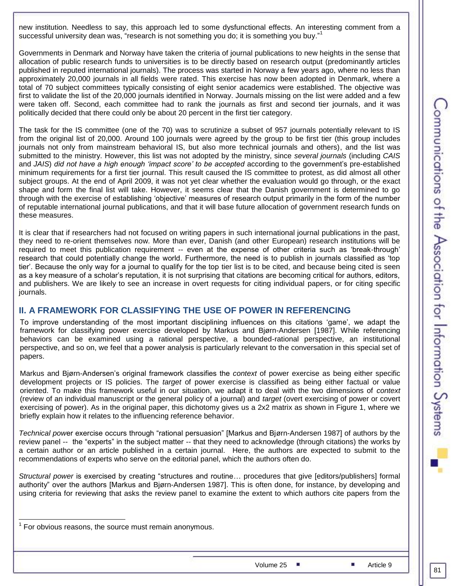new institution. Needless to say, this approach led to some dysfunctional effects. An interesting comment from a successful university dean was, "research is not something you do; it is something you buy."<sup>1</sup>

Governments in Denmark and Norway have taken the criteria of journal publications to new heights in the sense that allocation of public research funds to universities is to be directly based on research output (predominantly articles published in reputed international journals). The process was started in Norway a few years ago, where no less than approximately 20,000 journals in all fields were rated. This exercise has now been adopted in Denmark, where a total of 70 subject committees typically consisting of eight senior academics were established. The objective was first to validate the list of the 20,000 journals identified in Norway. Journals missing on the list were added and a few were taken off. Second, each committee had to rank the journals as first and second tier journals, and it was politically decided that there could only be about 20 percent in the first tier category.

The task for the IS committee (one of the 70) was to scrutinize a subset of 957 journals potentially relevant to IS from the original list of 20,000. Around 100 journals were agreed by the group to be first tier (this group includes journals not only from mainstream behavioral IS, but also more technical journals and others), and the list was submitted to the ministry. However, this list was not adopted by the ministry, since *several journals* (including *CAIS* and *JAIS*) *did not have a high enough 'impact score' to be accepted* according to the government"s pre-established minimum requirements for a first tier journal. This result caused the IS committee to protest, as did almost all other subject groups. At the end of April 2009, it was not yet clear whether the evaluation would go through, or the exact shape and form the final list will take. However, it seems clear that the Danish government is determined to go through with the exercise of establishing "objective" measures of research output primarily in the form of the number of reputable international journal publications, and that it will base future allocation of government research funds on these measures.

It is clear that if researchers had not focused on writing papers in such international journal publications in the past, they need to re-orient themselves now. More than ever, Danish (and other European) research institutions will be required to meet this publication requirement -- even at the expense of other criteria such as "break-through" research that could potentially change the world. Furthermore, the need is to publish in journals classified as "top tier". Because the only way for a journal to qualify for the top tier list is to be cited, and because being cited is seen as a key measure of a scholar"s reputation, it is not surprising that citations are becoming critical for authors, editors, and publishers. We are likely to see an increase in overt requests for citing individual papers, or for citing specific journals.

#### **II. A FRAMEWORK FOR CLASSIFYING THE USE OF POWER IN REFERENCING**

To improve understanding of the most important disciplining influences on this citations "game", we adapt the framework for classifying power exercise developed by Markus and Bjørn-Andersen [1987]. While referencing behaviors can be examined using a rational perspective, a bounded-rational perspective, an institutional perspective, and so on, we feel that a power analysis is particularly relevant to the conversation in this special set of papers.

Markus and Bjørn-Andersen"s original framework classifies the *context* of power exercise as being either specific development projects or IS policies. The *target* of power exercise is classified as being either factual or value oriented. To make this framework useful in our situation, we adapt it to deal with the two dimensions of *context* (review of an individual manuscript or the general policy of a journal) and *target* (overt exercising of power or covert exercising of power). As in the original paper, this dichotomy gives us a 2x2 matrix as shown in Figure 1, where we briefly explain how it relates to the influencing reference behavior.

*Technical pow*er exercise occurs through "rational persuasion" [Markus and Bjørn-Andersen 1987] of authors by the review panel -- the "experts" in the subject matter -- that they need to acknowledge (through citations) the works by a certain author or an article published in a certain journal. Here, the authors are expected to submit to the recommendations of experts who serve on the editorial panel, which the authors often do.

*Structural power* is exercised by creating "structures and routine… procedures that give [editors/publishers] formal authority" over the authors [Markus and Bjørn-Andersen 1987]. This is often done, for instance, by developing and using criteria for reviewing that asks the review panel to examine the extent to which authors cite papers from the

**EXECUTE:**<br><sup>1</sup> For obvious reasons, the source must remain anonymous.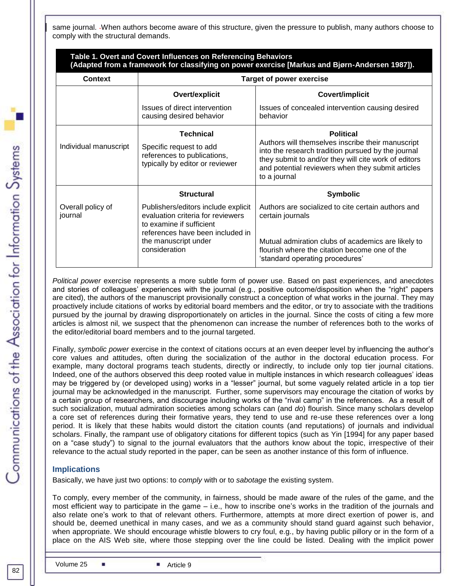same journal. When authors become aware of this structure, given the pressure to publish, many authors choose to comply with the structural demands.

|                              | Table 1. Overt and Covert Influences on Referencing Behaviors                                                                            | (Adapted from a framework for classifying on power exercise [Markus and Bjørn-Andersen 1987]).                                                                                                                                                           |  |  |  |  |
|------------------------------|------------------------------------------------------------------------------------------------------------------------------------------|----------------------------------------------------------------------------------------------------------------------------------------------------------------------------------------------------------------------------------------------------------|--|--|--|--|
| <b>Context</b>               | <b>Target of power exercise</b>                                                                                                          |                                                                                                                                                                                                                                                          |  |  |  |  |
|                              | Overt/explicit                                                                                                                           | <b>Covert/implicit</b>                                                                                                                                                                                                                                   |  |  |  |  |
|                              | Issues of direct intervention<br>causing desired behavior                                                                                | Issues of concealed intervention causing desired<br>behavior                                                                                                                                                                                             |  |  |  |  |
| Individual manuscript        | <b>Technical</b><br>Specific request to add<br>references to publications,<br>typically by editor or reviewer                            | <b>Political</b><br>Authors will themselves inscribe their manuscript<br>into the research tradition pursued by the journal<br>they submit to and/or they will cite work of editors<br>and potential reviewers when they submit articles<br>to a journal |  |  |  |  |
|                              | <b>Structural</b>                                                                                                                        | <b>Symbolic</b>                                                                                                                                                                                                                                          |  |  |  |  |
| Overall policy of<br>journal | Publishers/editors include explicit<br>evaluation criteria for reviewers<br>to examine if sufficient<br>references have been included in | Authors are socialized to cite certain authors and<br>certain journals                                                                                                                                                                                   |  |  |  |  |
|                              | the manuscript under<br>consideration                                                                                                    | Mutual admiration clubs of academics are likely to<br>flourish where the citation become one of the<br>'standard operating procedures'                                                                                                                   |  |  |  |  |

*Political power* exercise represents a more subtle form of power use. Based on past experiences, and anecdotes and stories of colleagues" experiences with the journal (e.g., positive outcome/disposition when the "right" papers are cited), the authors of the manuscript provisionally construct a conception of what works in the journal. They may proactively include citations of works by editorial board members and the editor, or try to associate with the traditions pursued by the journal by drawing disproportionately on articles in the journal. Since the costs of citing a few more articles is almost nil, we suspect that the phenomenon can increase the number of references both to the works of the editor/editorial board members and to the journal targeted.

Finally, *symbolic power* exercise in the context of citations occurs at an even deeper level by influencing the author"s core values and attitudes, often during the socialization of the author in the doctoral education process. For example, many doctoral programs teach students, directly or indirectly, to include only top tier journal citations. Indeed, one of the authors observed this deep rooted value in multiple instances in which research colleagues" ideas may be triggered by (or developed using) works in a "lesser" journal, but some vaguely related article in a top tier journal may be acknowledged in the manuscript. Further, some supervisors may encourage the citation of works by a certain group of researchers, and discourage including works of the "rival camp" in the references. As a result of such socialization, mutual admiration societies among scholars can (and *do*) flourish. Since many scholars develop a core set of references during their formative years, they tend to use and re-use these references over a long period. It is likely that these habits would distort the citation counts (and reputations) of journals and individual scholars. Finally, the rampant use of obligatory citations for different topics (such as Yin [1994] for any paper based on a "case study") to signal to the journal evaluators that the authors know about the topic, irrespective of their relevance to the actual study reported in the paper, can be seen as another instance of this form of influence.

#### **Implications**

Basically, we have just two options: to *comply* with or to *sabotage* the existing system.

To comply, every member of the community, in fairness, should be made aware of the rules of the game, and the most efficient way to participate in the game – i.e., how to inscribe one"s works in the tradition of the journals and also relate one"s work to that of relevant others. Furthermore, attempts at more direct exertion of power is, and should be, deemed unethical in many cases, and we as a community should stand guard against such behavior, when appropriate. We should encourage whistle blowers to cry foul, e.g., by having public pillory or in the form of a place on the AIS Web site, where those stepping over the line could be listed. Dealing with the implicit power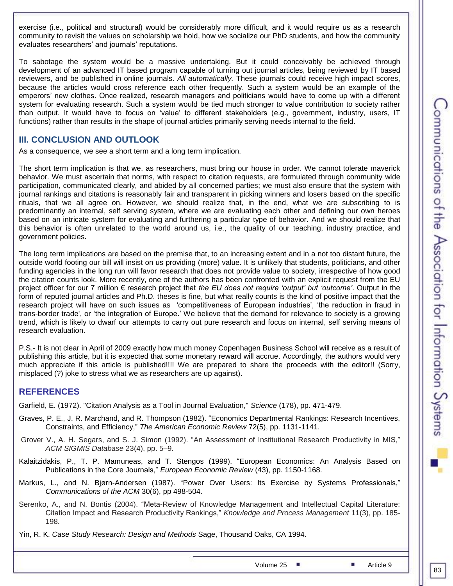exercise (i.e., political and structural) would be considerably more difficult, and it would require us as a research community to revisit the values on scholarship we hold, how we socialize our PhD students, and how the community evaluates researchers' and journals' reputations.

To sabotage the system would be a massive undertaking. But it could conceivably be achieved through development of an advanced IT based program capable of turning out journal articles, being reviewed by IT based reviewers, and be published in online journals. *All automatically.* These journals could receive high impact scores, because the articles would cross reference each other frequently. Such a system would be an example of the emperors" new clothes. Once realized, research managers and politicians would have to come up with a different system for evaluating research. Such a system would be tied much stronger to value contribution to society rather than output. It would have to focus on "value" to different stakeholders (e.g., government, industry, users, IT functions) rather than results in the shape of journal articles primarily serving needs internal to the field.

#### **III. CONCLUSION AND OUTLOOK**

As a consequence, we see a short term and a long term implication.

The short term implication is that we, as researchers, must bring our house in order. We cannot tolerate maverick behavior. We must ascertain that norms, with respect to citation requests, are formulated through community wide participation, communicated clearly, and abided by all concerned parties; we must also ensure that the system with journal rankings and citations is reasonably fair and transparent in picking winners and losers based on the specific rituals, that we all agree on. However, we should realize that, in the end, what we are subscribing to is predominantly an internal, self serving system, where we are evaluating each other and defining our own heroes based on an intricate system for evaluating and furthering a particular type of behavior. And we should realize that this behavior is often unrelated to the world around us, i.e., the quality of our teaching, industry practice, and government policies.

The long term implications are based on the premise that, to an increasing extent and in a not too distant future, the outside world footing our bill will insist on us providing (more) value. It is unlikely that students, politicians, and other funding agencies in the long run will favor research that does not provide value to society, irrespective of how good the citation counts look. More recently, one of the authors has been confronted with an explicit request from the EU project officer for our 7 million € research project that *the EU does not require 'output' but 'outcome'*. Output in the form of reputed journal articles and Ph.D. theses is fine, but what really counts is the kind of positive impact that the research project will have on such issues as 'competitiveness of European industries', 'the reduction in fraud in trans-border trade', or "the integration of Europe." We believe that the demand for relevance to society is a growing trend, which is likely to dwarf our attempts to carry out pure research and focus on internal, self serving means of research evaluation.

P.S.- It is not clear in April of 2009 exactly how much money Copenhagen Business School will receive as a result of publishing this article, but it is expected that some monetary reward will accrue. Accordingly, the authors would very much appreciate if this article is published!!!! We are prepared to share the proceeds with the editor!! (Sorry, misplaced (?) joke to stress what we as researchers are up against).

### **REFERENCES**

Garfield, E. (1972). "Citation Analysis as a Tool in Journal Evaluation," *Science* (178), pp. 471-479.

- Graves, P. E., J. R. Marchand, and R. Thompson (1982). "Economics Departmental Rankings: Research Incentives, Constraints, and Efficiency," *The American Economic Review* 72(5), pp. 1131-1141.
- Grover V., A. H. Segars, and S. J. Simon (1992). "An Assessment of Institutional Research Productivity in MIS," *ACM SIGMIS Database* 23(4), pp. 5–9.
- Kalaitzidakis, P., T. P. Mamuneas, and T. Stengos (1999). "European Economics: An Analysis Based on Publications in the Core Journals," *European Economic Review* (43), pp. 1150*-*1168.
- Markus, L., and N. Bjørn-Andersen (1987). "Power Over Users: Its Exercise by Systems Professionals," *Communications of the ACM* 30(6), pp 498-504.
- Serenko, A., and N. Bontis (2004). "Meta-Review of Knowledge Management and Intellectual Capital Literature: Citation Impact and Research Productivity Rankings," *Knowledge and Process Management* 11(3), pp. 185- 198.
- Yin, R. K. *Case Study Research: Design and Methods* Sage, Thousand Oaks, CA 1994.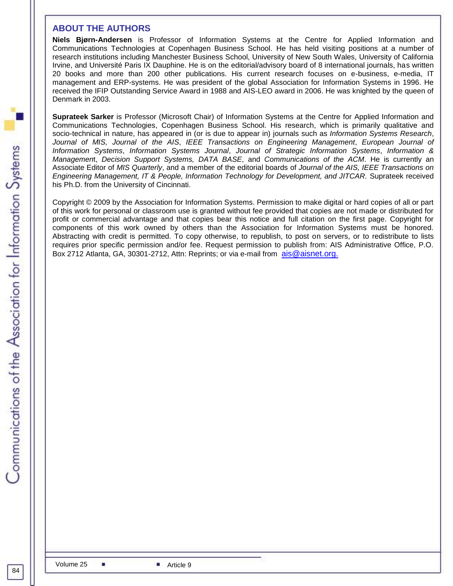#### **ABOUT THE AUTHORS**

**Niels Bjørn-Andersen** is Professor of Information Systems at the Centre for Applied Information and Communications Technologies at Copenhagen Business School. He has held visiting positions at a number of research institutions including Manchester Business School, University of New South Wales, University of California Irvine, and Université Paris IX Dauphine. He is on the editorial/advisory board of 8 international journals, has written 20 books and more than 200 other publications. His current research focuses on e-business, e-media, IT management and ERP-systems. He was president of the global Association for Information Systems in 1996. He received the IFIP Outstanding Service Award in 1988 and AIS-LEO award in 2006. He was knighted by the queen of Denmark in 2003.

**Suprateek Sarker** is Professor (Microsoft Chair) of Information Systems at the Centre for Applied Information and Communications Technologies, Copenhagen Business School. His research, which is primarily qualitative and socio-technical in nature, has appeared in (or is due to appear in) journals such as *Information Systems Research*, *Journal of MIS, Journal of the AIS*, *IEEE Transactions on Engineering Management*, *European Journal of Information Systems*, *Information Systems Journal*, *Journal of Strategic Information Systems*, *Information & Managemen*t, *Decision Support Systems, DATA BASE*, and *Communications of the ACM*. He is currently an Associate Editor of *MIS Quarterly*, and a member of the editorial boards of *Journal of the AIS, IEEE Transactions on Engineering Management, IT & People, Information Technology for Development, and JITCAR.* Suprateek received his Ph.D. from the University of Cincinnati.

Copyright © 2009 by the Association for Information Systems. Permission to make digital or hard copies of all or part of this work for personal or classroom use is granted without fee provided that copies are not made or distributed for profit or commercial advantage and that copies bear this notice and full citation on the first page. Copyright for components of this work owned by others than the Association for Information Systems must be honored. Abstracting with credit is permitted. To copy otherwise, to republish, to post on servers, or to redistribute to lists requires prior specific permission and/or fee. Request permission to publish from: AIS Administrative Office, P.O. Box 2712 Atlanta, GA, 30301-2712, Attn: Reprints; or via e-mail from [ais@aisnet.org.](mailto:ais@gsu.edu)